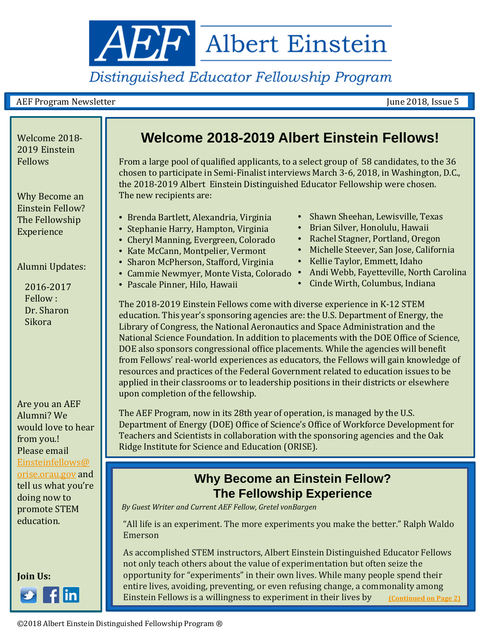<span id="page-0-0"></span>**AEF** Albert Einstein

# Distinguished Educator Fellowship Program

#### AEF Program Newsletter and the settlement of the settlement of the settlement of the June 2018, Issue 5 and the set

2019 Einstein Fellows

Why Become an Einstein Fellow? The Fellowship Experience

Alumni Updates:

2016-2017 Fellow : Dr. Sharon Sikora

Are you an AEF Alumni? We would love to hear from you.! Please email [Einsteinfellows@](mailto:Einsteinfellows@orise.orau.gov) [orise.orau.gov](mailto:Einsteinfellows@orise.orau.gov) and tell us what you're doing now to promote STEM education.



### Welcome 2018- **Welcome 2018-2019 Albert Einstein Fellows!**

From a large pool of qualified applicants, to a select group of 58 candidates, to the 36 chosen to participate in Semi-Finalist interviews March 3-6, 2018, in Washington, D.C., the 2018-2019 Albert Einstein Distinguished Educator Fellowship were chosen. The new recipients are:

- Brenda Bartlett, Alexandria, Virginia
- Stephanie Harry, Hampton, Virginia
- Cheryl Manning, Evergreen, Colorado
- Kate McCann, Montpelier, Vermont
- Sharon McPherson, Stafford, Virginia
- Cammie Newmyer, Monte Vista, Colorado Andi Webb, Fayetteville, North Carolina
- Pascale Pinner, Hilo, Hawaii
- Shawn Sheehan, Lewisville, Texas
- Brian Silver, Honolulu, Hawaii
- Rachel Stagner, Portland, Oregon
- Michelle Steever, San Jose, California
- Kellie Taylor, Emmett, Idaho
- 
- Cinde Wirth, Columbus, Indiana

The 2018-2019 Einstein Fellows come with diverse experience in K-12 STEM education. This year's sponsoring agencies are: the U.S. Department of Energy, the Library of Congress, the National Aeronautics and Space Administration and the National Science Foundation. In addition to placements with the DOE Office of Science, DOE also sponsors congressional office placements. While the agencies will benefit from Fellows' real-world experiences as educators, the Fellows will gain knowledge of resources and practices of the Federal Government related to education issues to be applied in their classrooms or to leadership positions in their districts or elsewhere upon completion of the fellowship.

The AEF Program, now in its 28th year of operation, is managed by the U.S. Department of Energy (DOE) Office of Science's Office of Workforce Development for Teachers and Scientists in collaboration with the sponsoring agencies and the Oak Ridge Institute for Science and Education (ORISE).

#### **Why Become an Einstein Fellow? The Fellowship Experience**

*By Guest Writer and Current AEF Fellow, Gretel vonBargen*

in Rochester's Museum District. With over 375,000 guests each year, the museum "All life is an experiment. The more experiments you make the better." Ralph Waldo<br> operate a co-located Genesee Community Charter School , known for expeditionary Charter School , known for expeditionary Charter School , known for expeditionary Charter School , known for expeditionary Charter School , an Emerson

As accomplished STEM instructors, Albert Einstein Distinguished Educator Fellows not only teach others about the value of experimentation but often seize the opportunity for "experiments" in their own lives. While many people spend their entire lives, avoiding, preventing, or even refusing change, a commonality among Einstein Fellows is a willingness to experiment in their lives by **[\(](#page-0-0)[Continued on Page 2](#page-1-0)[\)](#page-0-0)**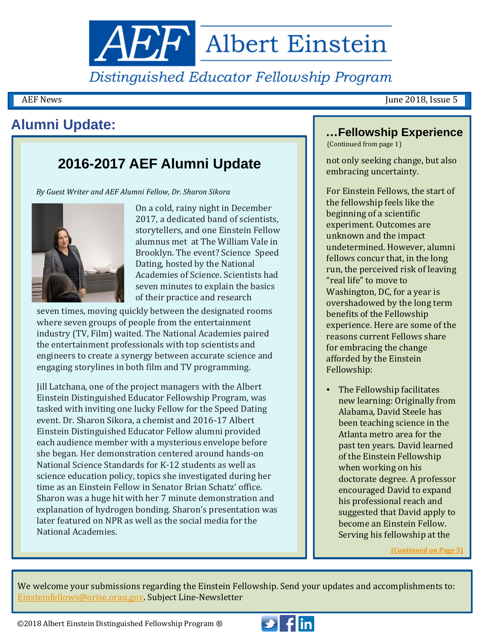<span id="page-1-0"></span>**AEF** Albert Einstein

Distinguished Educator Fellowship Program

AEF News June 2018, Issue 5

# **Alumni Update:**

## **2016-2017 AEF Alumni Update**

*By Guest Writer and AEF Alumni Fellow, Dr. Sharon Sikora*



On a cold, rainy night in December 2017, a dedicated band of scientists, storytellers, and one Einstein Fellow alumnus met at The William Vale in Brooklyn. The event? Science Speed Dating, hosted by the National Academies of Science. Scientists had seven minutes to explain the basics of their practice and research

seven times, moving quickly between the designated rooms where seven groups of people from the entertainment industry (TV, Film) waited. The National Academies paired the entertainment professionals with top scientists and engineers to create a synergy between accurate science and engaging storylines in both film and TV programming.

Jill Latchana, one of the project managers with the Albert Einstein Distinguished Educator Fellowship Program, was tasked with inviting one lucky Fellow for the Speed Dating event. Dr. Sharon Sikora, a chemist and 2016-17 Albert Einstein Distinguished Educator Fellow alumni provided each audience member with a mysterious envelope before she began. Her demonstration centered around hands-on National Science Standards for K-12 students as well as science education policy, topics she investigated during her time as an Einstein Fellow in Senator Brian Schatz' office. Sharon was a huge hit with her 7 minute demonstration and explanation of hydrogen bonding. Sharon's presentation was later featured on NPR as well as the social media for the National Academies.

#### **…Fellowship Experience**

(Continued from page 1)

not only seeking change, but also embracing uncertainty.

For Einstein Fellows, the start of the fellowship feels like the beginning of a scientific experiment. Outcomes are unknown and the impact undetermined. However, alumni fellows concur that, in the long run, the perceived risk of leaving "real life" to move to Washington, DC, for a year is overshadowed by the long term benefits of the Fellowship experience. Here are some of the reasons current Fellows share for embracing the change afforded by the Einstein Fellowship:

• The Fellowship facilitates new learning: Originally from Alabama, David Steele has been teaching science in the Atlanta metro area for the past ten years. David learned of the Einstein Fellowship when working on his doctorate degree. A professor encouraged David to expand his professional reach and suggested that David apply to become an Einstein Fellow. Serving his fellowship at the

**[\(](#page-0-0)[Continued on Page](#page-2-0) [3\)](#page-0-0)**

We welcome your submissions regarding the Einstein Fellowship. Send your updates and accomplishments to: [Einsteinfellows@orise.orau.gov.](mailto:Einsteinfellows@orise.orau.gov) Subject Line-Newsletter

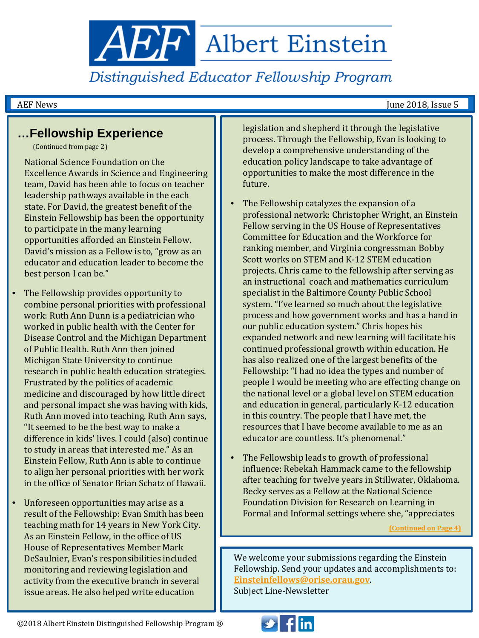<span id="page-2-0"></span>**ABP** Albert Einstein

Distinguished Educator Fellowship Program

AEF News June 2018, Issue 5

### **…Fellowship Experience**

(Continued from page 2)

National Science Foundation on the Excellence Awards in Science and Engineering team, David has been able to focus on teacher leadership pathways available in the each state. For David, the greatest benefit of the Einstein Fellowship has been the opportunity to participate in the many learning opportunities afforded an Einstein Fellow. David's mission as a Fellow is to, "grow as an educator and education leader to become the best person I can be."

- The Fellowship provides opportunity to combine personal priorities with professional work: Ruth Ann Dunn is a pediatrician who worked in public health with the Center for Disease Control and the Michigan Department of Public Health. Ruth Ann then joined Michigan State University to continue research in public health education strategies. Frustrated by the politics of academic medicine and discouraged by how little direct and personal impact she was having with kids, Ruth Ann moved into teaching. Ruth Ann says, "It seemed to be the best way to make a difference in kids' lives. I could (also) continue to study in areas that interested me." As an Einstein Fellow, Ruth Ann is able to continue to align her personal priorities with her work in the office of Senator Brian Schatz of Hawaii.
- Unforeseen opportunities may arise as a result of the Fellowship: Evan Smith has been teaching math for 14 years in New York City. As an Einstein Fellow, in the office of US House of Representatives Member Mark DeSaulnier, Evan's responsibilities included monitoring and reviewing legislation and activity from the executive branch in several issue areas. He also helped write education

legislation and shepherd it through the legislative process. Through the Fellowship, Evan is looking to develop a comprehensive understanding of the education policy landscape to take advantage of opportunities to make the most difference in the future.

- The Fellowship catalyzes the expansion of a professional network: Christopher Wright, an Einstein Fellow serving in the US House of Representatives Committee for Education and the Workforce for ranking member, and Virginia congressman Bobby Scott works on STEM and K-12 STEM education projects. Chris came to the fellowship after serving as an instructional coach and mathematics curriculum specialist in the Baltimore County Public School system. "I've learned so much about the legislative process and how government works and has a hand in our public education system." Chris hopes his expanded network and new learning will facilitate his continued professional growth within education. He has also realized one of the largest benefits of the Fellowship: "I had no idea the types and number of people I would be meeting who are effecting change on the national level or a global level on STEM education and education in general, particularly K-12 education in this country. The people that I have met, the resources that I have become available to me as an educator are countless. It's phenomenal."
- The Fellowship leads to growth of professional influence: Rebekah Hammack came to the fellowship after teaching for twelve years in Stillwater, Oklahoma. Becky serves as a Fellow at the National Science Foundation Division for Research on Learning in Formal and Informal settings where she, "appreciates

**[\(](#page-0-0)[Continued on Page](#page-3-0) [4\)](#page-0-0)**

We welcome your submissions regarding the Einstein Fellowship. Send your updates and accomplishments to: **[Einsteinfellows@orise.orau.gov](mailto:Einsteinfellows@orise.orau.gov)**. Subject Line-Newsletter

©2018 Albert Einstein Distinguished Fellowship Program ®